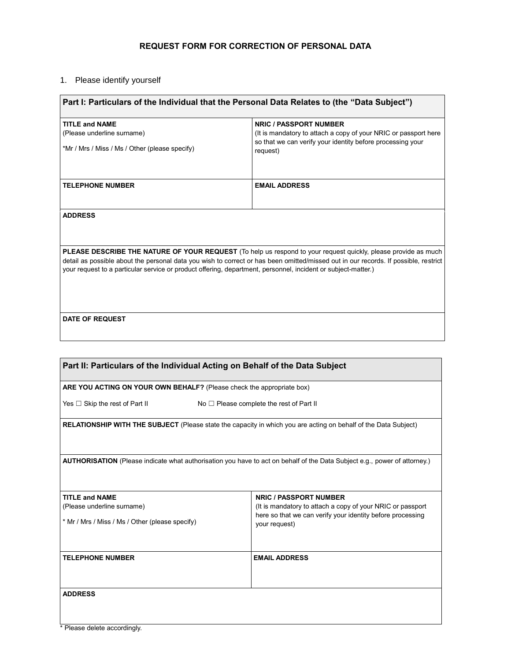## **REQUEST FORM FOR CORRECTION OF PERSONAL DATA**

## 1. Please identify yourself

| Part I: Particulars of the Individual that the Personal Data Relates to (the "Data Subject")                                        |                                                                 |  |
|-------------------------------------------------------------------------------------------------------------------------------------|-----------------------------------------------------------------|--|
| <b>TITLE and NAME</b>                                                                                                               | <b>NRIC / PASSPORT NUMBER</b>                                   |  |
| (Please underline surname)                                                                                                          | (It is mandatory to attach a copy of your NRIC or passport here |  |
|                                                                                                                                     | so that we can verify your identity before processing your      |  |
| *Mr / Mrs / Miss / Ms / Other (please specify)                                                                                      | request)                                                        |  |
|                                                                                                                                     |                                                                 |  |
| <b>TELEPHONE NUMBER</b>                                                                                                             | <b>EMAIL ADDRESS</b>                                            |  |
|                                                                                                                                     |                                                                 |  |
| <b>ADDRESS</b>                                                                                                                      |                                                                 |  |
|                                                                                                                                     |                                                                 |  |
|                                                                                                                                     |                                                                 |  |
| <b>PLEASE DESCRIBE THE NATURE OF YOUR REQUEST</b> (To help us respond to your request quickly, please provide as much               |                                                                 |  |
| detail as possible about the personal data you wish to correct or has been omitted/missed out in our records. If possible, restrict |                                                                 |  |
| your request to a particular service or product offering, department, personnel, incident or subject-matter.)                       |                                                                 |  |
|                                                                                                                                     |                                                                 |  |
|                                                                                                                                     |                                                                 |  |
|                                                                                                                                     |                                                                 |  |
| <b>DATE OF REQUEST</b>                                                                                                              |                                                                 |  |
|                                                                                                                                     |                                                                 |  |
|                                                                                                                                     |                                                                 |  |

| Part II: Particulars of the Individual Acting on Behalf of the Data Subject                                               |                                                                             |  |
|---------------------------------------------------------------------------------------------------------------------------|-----------------------------------------------------------------------------|--|
| ARE YOU ACTING ON YOUR OWN BEHALF? (Please check the appropriate box)                                                     |                                                                             |  |
| Yes $\Box$ Skip the rest of Part II                                                                                       | No $\Box$ Please complete the rest of Part II                               |  |
| <b>RELATIONSHIP WITH THE SUBJECT</b> (Please state the capacity in which you are acting on behalf of the Data Subject)    |                                                                             |  |
| AUTHORISATION (Please indicate what authorisation you have to act on behalf of the Data Subject e.g., power of attorney.) |                                                                             |  |
| <b>TITLE and NAME</b>                                                                                                     | <b>NRIC / PASSPORT NUMBER</b>                                               |  |
| (Please underline surname)                                                                                                | (It is mandatory to attach a copy of your NRIC or passport                  |  |
| * Mr / Mrs / Miss / Ms / Other (please specify)                                                                           | here so that we can verify your identity before processing<br>your request) |  |
| <b>TELEPHONE NUMBER</b>                                                                                                   | <b>EMAIL ADDRESS</b>                                                        |  |
|                                                                                                                           |                                                                             |  |
| <b>ADDRESS</b>                                                                                                            |                                                                             |  |
|                                                                                                                           |                                                                             |  |
| $\star$ Dissas delete sessedinalu                                                                                         |                                                                             |  |